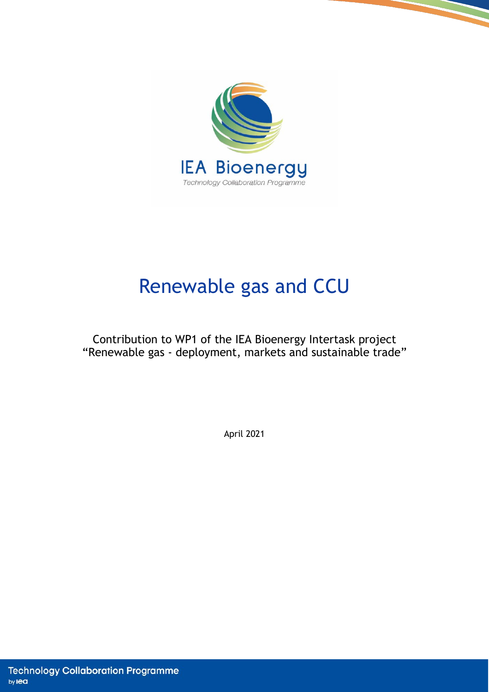

# Renewable gas and CCU

Contribution to WP1 of the IEA Bioenergy Intertask project "Renewable gas - deployment, markets and sustainable trade"

April 2021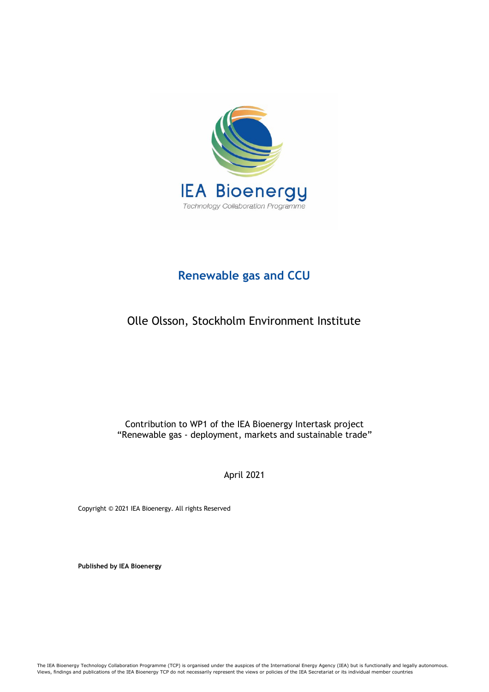

# **Renewable gas and CCU**

## Olle Olsson, Stockholm Environment Institute

Contribution to WP1 of the IEA Bioenergy Intertask project "Renewable gas - deployment, markets and sustainable trade"

April 2021

Copyright © 2021 IEA Bioenergy. All rights Reserved

**Published by IEA Bioenergy**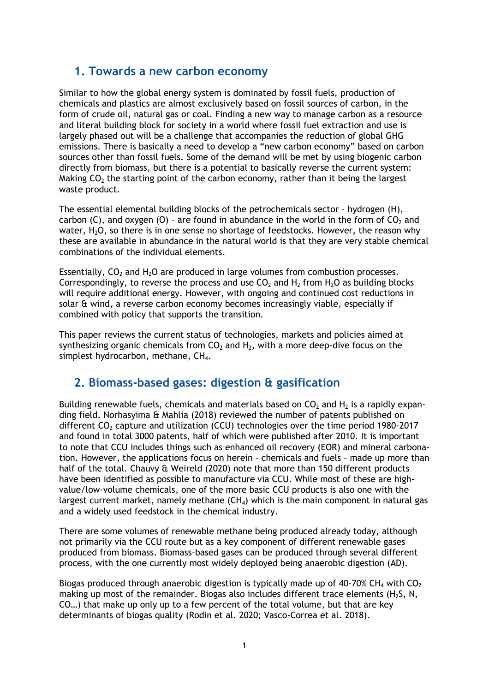#### **1. Towards a new carbon economy**

Similar to how the global energy system is dominated by fossil fuels, production of chemicals and plastics are almost exclusively based on fossil sources of carbon, in the form of crude oil, natural gas or coal. Finding a new way to manage carbon as a resource and literal building block for society in a world where fossil fuel extraction and use is largely phased out will be a challenge that accompanies the reduction of global GHG emissions. There is basically a need to develop a "new carbon economy" based on carbon sources other than fossil fuels. Some of the demand will be met by using biogenic carbon directly from biomass, but there is a potential to basically reverse the current system: Making  $CO<sub>2</sub>$  the starting point of the carbon economy, rather than it being the largest waste product.

The essential elemental building blocks of the petrochemicals sector – hydrogen (H), carbon (C), and oxygen (O) - are found in abundance in the world in the form of  $CO<sub>2</sub>$  and water, H<sub>2</sub>O, so there is in one sense no shortage of feedstocks. However, the reason why these are available in abundance in the natural world is that they are very stable chemical combinations of the individual elements.

Essentially,  $CO<sub>2</sub>$  and H<sub>2</sub>O are produced in large volumes from combustion processes. Correspondingly, to reverse the process and use  $CO<sub>2</sub>$  and  $H<sub>2</sub>$  from  $H<sub>2</sub>O$  as building blocks will require additional energy. However, with ongoing and continued cost reductions in solar & wind, a reverse carbon economy becomes increasingly viable, especially if combined with policy that supports the transition.

This paper reviews the current status of technologies, markets and policies aimed at synthesizing organic chemicals from  $CO<sub>2</sub>$  and  $H<sub>2</sub>$ , with a more deep-dive focus on the simplest hydrocarbon, methane, CH<sub>4</sub>.

## **2. Biomass-based gases: digestion & gasification**

Building renewable fuels, chemicals and materials based on  $CO<sub>2</sub>$  and  $H<sub>2</sub>$  is a rapidly expanding field. Norhasyima & Mahlia (2018) reviewed the number of patents published on different  $CO<sub>2</sub>$  capture and utilization (CCU) technologies over the time period 1980-2017 and found in total 3000 patents, half of which were published after 2010. It is important to note that CCU includes things such as enhanced oil recovery (EOR) and mineral carbonation. However, the applications focus on herein – chemicals and fuels – made up more than half of the total. Chauvy & Weireld (2020) note that more than 150 different products have been identified as possible to manufacture via CCU. While most of these are highvalue/low-volume chemicals, one of the more basic CCU products is also one with the largest current market, namely methane  $(CH_4)$  which is the main component in natural gas and a widely used feedstock in the chemical industry.

There are some volumes of renewable methane being produced already today, although not primarily via the CCU route but as a key component of different renewable gases produced from biomass. Biomass-based gases can be produced through several different process, with the one currently most widely deployed being anaerobic digestion (AD).

Biogas produced through anaerobic digestion is typically made up of 40-70% CH<sub>4</sub> with  $CO<sub>2</sub>$ making up most of the remainder. Biogas also includes different trace elements  $(H_2S, N,$ CO…) that make up only up to a few percent of the total volume, but that are key determinants of biogas quality (Rodin et al. 2020; Vasco-Correa et al. 2018).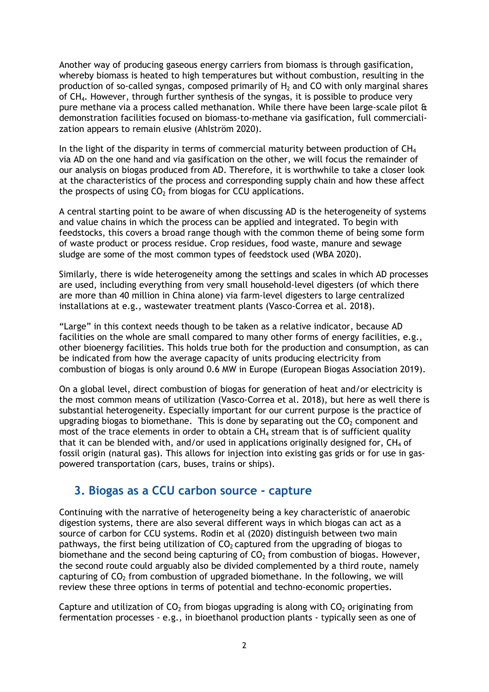Another way of producing gaseous energy carriers from biomass is through gasification, whereby biomass is heated to high temperatures but without combustion, resulting in the production of so-called syngas, composed primarily of  $H<sub>2</sub>$  and CO with only marginal shares of CH4. However, through further synthesis of the syngas, it is possible to produce very pure methane via a process called methanation. While there have been large-scale pilot & demonstration facilities focused on biomass-to-methane via gasification, full commercialization appears to remain elusive (Ahlström 2020).

In the light of the disparity in terms of commercial maturity between production of  $CH<sub>4</sub>$ via AD on the one hand and via gasification on the other, we will focus the remainder of our analysis on biogas produced from AD. Therefore, it is worthwhile to take a closer look at the characteristics of the process and corresponding supply chain and how these affect the prospects of using  $CO<sub>2</sub>$  from biogas for CCU applications.

A central starting point to be aware of when discussing AD is the heterogeneity of systems and value chains in which the process can be applied and integrated. To begin with feedstocks, this covers a broad range though with the common theme of being some form of waste product or process residue. Crop residues, food waste, manure and sewage sludge are some of the most common types of feedstock used (WBA 2020).

Similarly, there is wide heterogeneity among the settings and scales in which AD processes are used, including everything from very small household-level digesters (of which there are more than 40 million in China alone) via farm-level digesters to large centralized installations at e.g., wastewater treatment plants (Vasco-Correa et al. 2018).

"Large" in this context needs though to be taken as a relative indicator, because AD facilities on the whole are small compared to many other forms of energy facilities, e.g., other bioenergy facilities. This holds true both for the production and consumption, as can be indicated from how the average capacity of units producing electricity from combustion of biogas is only around 0.6 MW in Europe (European Biogas Association 2019).

On a global level, direct combustion of biogas for generation of heat and/or electricity is the most common means of utilization (Vasco-Correa et al. 2018), but here as well there is substantial heterogeneity. Especially important for our current purpose is the practice of upgrading biogas to biomethane. This is done by separating out the  $CO<sub>2</sub>$  component and most of the trace elements in order to obtain a  $CH<sub>4</sub>$  stream that is of sufficient quality that it can be blended with, and/or used in applications originally designed for,  $CH_4$  of fossil origin (natural gas). This allows for injection into existing gas grids or for use in gaspowered transportation (cars, buses, trains or ships).

#### **3. Biogas as a CCU carbon source - capture**

Continuing with the narrative of heterogeneity being a key characteristic of anaerobic digestion systems, there are also several different ways in which biogas can act as a source of carbon for CCU systems. Rodin et al (2020) distinguish between two main pathways, the first being utilization of  $CO<sub>2</sub>$  captured from the upgrading of biogas to biomethane and the second being capturing of  $CO<sub>2</sub>$  from combustion of biogas. However, the second route could arguably also be divided complemented by a third route, namely capturing of  $CO<sub>2</sub>$  from combustion of upgraded biomethane. In the following, we will review these three options in terms of potential and techno-economic properties.

Capture and utilization of  $CO<sub>2</sub>$  from biogas upgrading is along with  $CO<sub>2</sub>$  originating from fermentation processes - e.g., in bioethanol production plants - typically seen as one of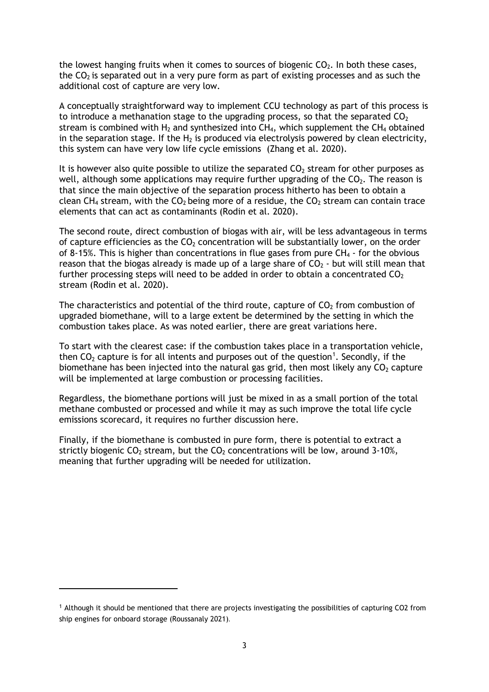the lowest hanging fruits when it comes to sources of biogenic  $CO<sub>2</sub>$ . In both these cases, the  $CO<sub>2</sub>$  is separated out in a very pure form as part of existing processes and as such the additional cost of capture are very low.

A conceptually straightforward way to implement CCU technology as part of this process is to introduce a methanation stage to the upgrading process, so that the separated  $CO<sub>2</sub>$ stream is combined with  $H_2$  and synthesized into CH<sub>4</sub>, which supplement the CH<sub>4</sub> obtained in the separation stage. If the  $H_2$  is produced via electrolysis powered by clean electricity, this system can have very low life cycle emissions (Zhang et al. 2020).

It is however also quite possible to utilize the separated  $CO<sub>2</sub>$  stream for other purposes as well, although some applications may require further upgrading of the  $CO<sub>2</sub>$ . The reason is that since the main objective of the separation process hitherto has been to obtain a clean CH<sub>4</sub> stream, with the CO<sub>2</sub> being more of a residue, the CO<sub>2</sub> stream can contain trace elements that can act as contaminants (Rodin et al. 2020).

The second route, direct combustion of biogas with air, will be less advantageous in terms of capture efficiencies as the  $CO<sub>2</sub>$  concentration will be substantially lower, on the order of 8-15%. This is higher than concentrations in flue gases from pure  $CH_4$  - for the obvious reason that the biogas already is made up of a large share of  $CO<sub>2</sub>$  - but will still mean that further processing steps will need to be added in order to obtain a concentrated  $CO<sub>2</sub>$ stream (Rodin et al. 2020).

The characteristics and potential of the third route, capture of  $CO<sub>2</sub>$  from combustion of upgraded biomethane, will to a large extent be determined by the setting in which the combustion takes place. As was noted earlier, there are great variations here.

To start with the clearest case: if the combustion takes place in a transportation vehicle, then  $CO_2$  capture is for all intents and purposes out of the question<sup>[1](#page-4-0)</sup>. Secondly, if the biomethane has been injected into the natural gas grid, then most likely any  $CO<sub>2</sub>$  capture will be implemented at large combustion or processing facilities.

Regardless, the biomethane portions will just be mixed in as a small portion of the total methane combusted or processed and while it may as such improve the total life cycle emissions scorecard, it requires no further discussion here.

Finally, if the biomethane is combusted in pure form, there is potential to extract a strictly biogenic  $CO<sub>2</sub>$  stream, but the  $CO<sub>2</sub>$  concentrations will be low, around 3-10%, meaning that further upgrading will be needed for utilization.

<span id="page-4-0"></span><sup>1</sup> Although it should be mentioned that there are projects investigating the possibilities of capturing CO2 from ship engines for onboard storage (Roussanaly 2021).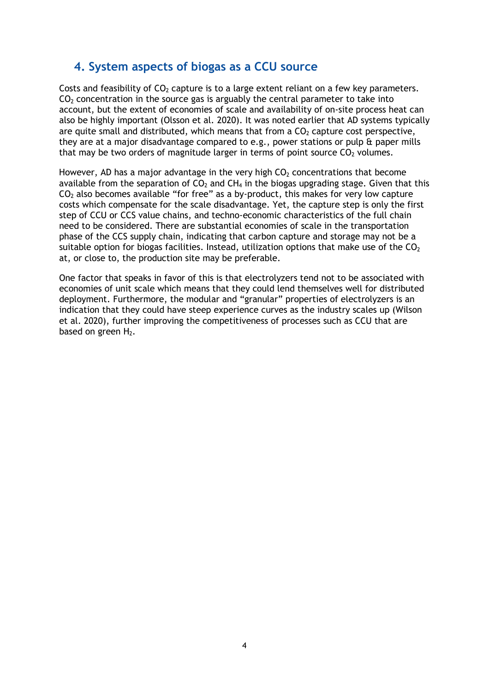## **4. System aspects of biogas as a CCU source**

Costs and feasibility of  $CO<sub>2</sub>$  capture is to a large extent reliant on a few key parameters.  $CO<sub>2</sub>$  concentration in the source gas is arguably the central parameter to take into account, but the extent of economies of scale and availability of on-site process heat can also be highly important (Olsson et al. 2020). It was noted earlier that AD systems typically are quite small and distributed, which means that from a  $CO<sub>2</sub>$  capture cost perspective, they are at a major disadvantage compared to e.g., power stations or pulp & paper mills that may be two orders of magnitude larger in terms of point source  $CO<sub>2</sub>$  volumes.

However, AD has a major advantage in the very high  $CO<sub>2</sub>$  concentrations that become available from the separation of  $CO<sub>2</sub>$  and  $CH<sub>4</sub>$  in the biogas upgrading stage. Given that this  $CO<sub>2</sub>$  also becomes available "for free" as a by-product, this makes for very low capture costs which compensate for the scale disadvantage. Yet, the capture step is only the first step of CCU or CCS value chains, and techno-economic characteristics of the full chain need to be considered. There are substantial economies of scale in the transportation phase of the CCS supply chain, indicating that carbon capture and storage may not be a suitable option for biogas facilities. Instead, utilization options that make use of the  $CO<sub>2</sub>$ at, or close to, the production site may be preferable.

One factor that speaks in favor of this is that electrolyzers tend not to be associated with economies of unit scale which means that they could lend themselves well for distributed deployment. Furthermore, the modular and "granular" properties of electrolyzers is an indication that they could have steep experience curves as the industry scales up (Wilson et al. 2020), further improving the competitiveness of processes such as CCU that are based on green  $H_2$ .